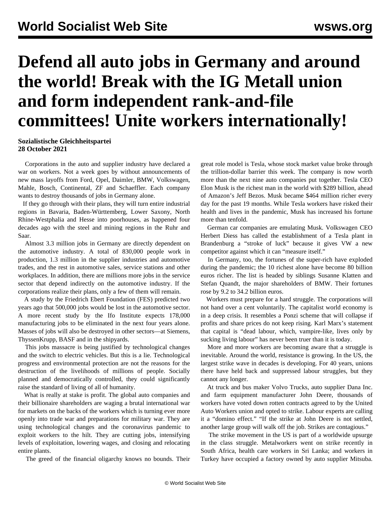## **Defend all auto jobs in Germany and around the world! Break with the IG Metall union and form independent rank-and-file committees! Unite workers internationally!**

## **Sozialistische Gleichheitspartei 28 October 2021**

 Corporations in the auto and supplier industry have declared a war on workers. Not a week goes by without announcements of new mass layoffs from Ford, Opel, Daimler, BMW, Volkswagen, Mahle, Bosch, Continental, ZF and Schaeffler. Each company wants to destroy thousands of jobs in Germany alone.

 If they go through with their plans, they will turn entire industrial regions in Bavaria, Baden-Württemberg, Lower Saxony, North Rhine-Westphalia and Hesse into poorhouses, as happened four decades ago with the steel and mining regions in the Ruhr and Saar.

 Almost 3.3 million jobs in Germany are directly dependent on the automotive industry. A total of 830,000 people work in production, 1.3 million in the supplier industries and automotive trades, and the rest in automotive sales, service stations and other workplaces. In addition, there are millions more jobs in the service sector that depend indirectly on the automotive industry. If the corporations realize their plans, only a few of them will remain.

 A study by the Friedrich Ebert Foundation (FES) predicted two years ago that 500,000 jobs would be lost in the automotive sector. A more recent study by the Ifo Institute expects 178,000 manufacturing jobs to be eliminated in the next four years alone. Masses of jobs will also be destroyed in other sectors—at Siemens, ThyssenKrupp, BASF and in the shipyards.

 This jobs massacre is being justified by technological changes and the switch to electric vehicles. But this is a lie. Technological progress and environmental protection are not the reasons for the destruction of the livelihoods of millions of people. Socially planned and democratically controlled, they could significantly raise the standard of living of all of humanity.

 What is really at stake is profit. The global auto companies and their billionaire shareholders are waging a brutal international war for markets on the backs of the workers which is turning ever more openly into trade war and preparations for military war. They are using technological changes and the coronavirus pandemic to exploit workers to the hilt. They are cutting jobs, intensifying levels of exploitation, lowering wages, and closing and relocating entire plants.

The greed of the financial oligarchy knows no bounds. Their

great role model is Tesla, whose stock market value broke through the trillion-dollar barrier this week. The company is now worth more than the next nine auto companies put together. Tesla CEO Elon Musk is the richest man in the world with \$289 billion, ahead of Amazon's Jeff Bezos. Musk became \$464 million richer every day for the past 19 months. While Tesla workers have risked their health and lives in the pandemic, Musk has increased his fortune more than tenfold.

 German car companies are emulating Musk. Volkswagen CEO Herbert Diess has called the establishment of a Tesla plant in Brandenburg a "stroke of luck" because it gives VW a new competitor against which it can "measure itself."

 In Germany, too, the fortunes of the super-rich have exploded during the pandemic; the 10 richest alone have become 80 billion euros richer. The list is headed by siblings Susanne Klatten and Stefan Quandt, the major shareholders of BMW. Their fortunes rose by 9.2 to 34.2 billion euros.

 Workers must prepare for a hard struggle. The corporations will not hand over a cent voluntarily. The capitalist world economy is in a deep crisis. It resembles a Ponzi scheme that will collapse if profits and share prices do not keep rising. Karl Marx's statement that capital is "dead labour, which, vampire-like, lives only by sucking living labour" has never been truer than it is today.

 More and more workers are becoming aware that a struggle is inevitable. Around the world, resistance is growing. In the US, the largest strike wave in decades is developing. For 40 years, unions there have held back and suppressed labour struggles, but they cannot any longer.

 At truck and bus maker Volvo Trucks, auto supplier Dana Inc. and farm equipment manufacturer John Deere, thousands of workers have voted down rotten contracts agreed to by the United Auto Workers union and opted to strike. Labour experts are calling it a "domino effect." "If the strike at John Deere is not settled, another large group will walk off the job. Strikes are contagious."

 The strike movement in the US is part of a worldwide upsurge in the class struggle. Metalworkers went on strike recently in [South Africa,](/en/articles/2021/10/07/safr-o07.html) health care workers in [Sri Lanka;](/en/articles/2021/10/13/slhs-o13.html) and workers in [Turkey](/en/articles/2021/10/13/turk-o13.html) have occupied a factory owned by auto supplier Mitsuba.